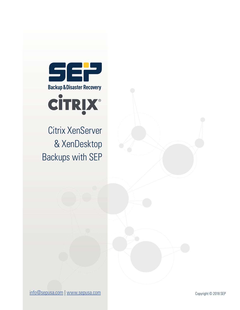

Citrix XenServer & XenDesktop Backups with SEP

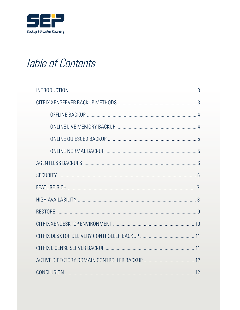

## Table of Contents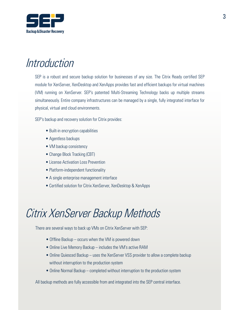

#### Introduction

SEP is a robust and secure backup solution for businesses of any size. The Citrix Ready certified SEP module for XenServer, XenDesktop and XenApps provides fast and efficient backups for virtual machines (VM) running on XenServer. SEP's patented Multi-Streaming Technology backs up multiple streams simultaneously. Entire company infrastructures can be managed by a single, fully integrated interface for physical, virtual and cloud environments.

SEP's backup and recovery solution for Citrix provides:

- Built-in encryption capabilities
- Agentless backups
- VM backup consistency
- Change Block Tracking (CBT)
- License Activation Loss Prevention
- Platform-independent functionality
- A single enterprise management interface
- Certified solution for Citrix XenServer, XenDesktop & XenApps

#### Citrix XenServer Backup Methods

There are several ways to back up VMs on Citrix XenServer with SEP:

- Offline Backup occurs when the VM is powered down
- Online Live Memory Backup includes the VM's active RAM
- Online Quiesced Backup uses the XenServer VSS provider to allow a complete backup without interruption to the production system
- Online Normal Backup completed without interruption to the production system

All backup methods are fully accessible from and integrated into the SEP central interface.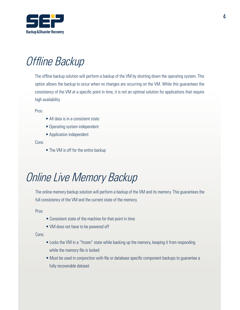

## Offline Backup

The offline backup solution will perform a backup of the VM by shutting down the operating system. This option allows the backup to occur when no changes are occurring on the VM. While this guarantees the consistency of the VM at a specific point in time, it is not an optimal solution for applications that require high availability.

Pros:

- All data is in a consistent state
- Operating system independent
- Application independent

Cons:

• The VM is off for the entire backup

## Online Live Memory Backup

The online memory backup solution will perform a backup of the VM and its memory. This guarantees the full consistency of the VM and the current state of the memory.

Pros:

- Consistent state of the machine for that point in time
- VM does not have to be powered off

Cons:

- Locks the VM in a "frozen" state while backing up the memory, keeping it from responding while the memory file is locked
- Must be used in conjunction with file or database specific component backups to guarantee a fully recoverable dataset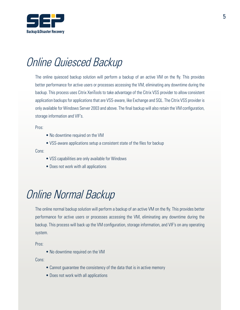

## Online Quiesced Backup

The online quiesced backup solution will perform a backup of an active VM on the fly. This provides better performance for active users or processes accessing the VM, eliminating any downtime during the backup. This process uses Citrix XenTools to take advantage of the Citrix VSS provider to allow consistent application backups for applications that are VSS-aware, like Exchange and SQL. The Citrix VSS provider is only available for Windows Server 2003 and above. The final backup will also retain the VM configuration, storage information and VIF's.

Pros:

- No downtime required on the VM
- VSS-aware applications setup a consistent state of the files for backup

Cons:

- VSS capabilities are only available for Windows
- Does not work with all applications

#### Online Normal Backup

The online normal backup solution will perform a backup of an active VM on the fly. This provides better performance for active users or processes accessing the VM, eliminating any downtime during the backup. This process will back up the VM configuration, storage information, and VIF's on any operating system.

Pros:

• No downtime required on the VM

Cons:

- Cannot guarantee the consistency of the data that is in active memory
- Does not work with all applications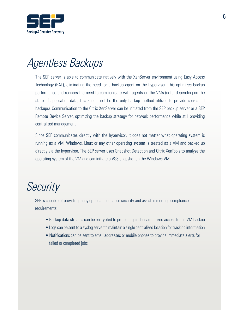

#### Agentless Backups

The SEP server is able to communicate natively with the XenServer environment using Easy Access Technology (EAT), eliminating the need for a backup agent on the hypervisor. This optimizes backup performance and reduces the need to communicate with agents on the VMs (note: depending on the state of application data, this should not be the only backup method utilized to provide consistent backups). Communication to the Citrix XenServer can be initiated from the SEP backup server or a SEP Remote Device Server, optimizing the backup strategy for network performance while still providing centralized management.

Since SEP communicates directly with the hypervisor, it does not matter what operating system is running as a VM. Windows, Linux or any other operating system is treated as a VM and backed up directly via the hypervisor. The SEP server uses Snapshot Detection and Citrix XenTools to analyze the operating system of the VM and can initiate a VSS snapshot on the Windows VM.

#### **Security**

SEP is capable of providing many options to enhance security and assist in meeting compliance requirements:

- Backup data streams can be encrypted to protect against unauthorized access to the VM backup
- Logs can be sent to a syslog server to maintain a single centralized location for tracking information
- Notifications can be sent to email addresses or mobile phones to provide immediate alerts for failed or completed jobs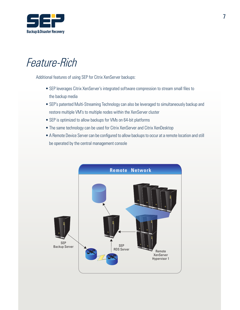

#### Feature-Rich

Additional features of using SEP for Citrix XenServer backups:

- SEP leverages Citrix XenServer's integrated software compression to stream small files to the backup media
- SEP's patented Multi-Streaming Technology can also be leveraged to simultaneously backup and restore multiple VM's to multiple nodes within the XenServer cluster
- SEP is optimized to allow backups for VMs on 64-bit platforms
- The same technology can be used for Citrix XenServer and Citrix XenDesktop
- A Remote Device Server can be configured to allow backups to occur at a remote location and still be operated by the central management console

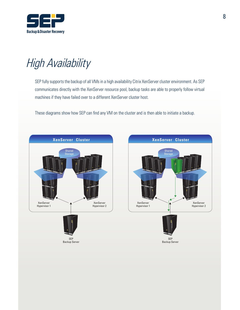

# High Availability

SEP fully supports the backup of all VMs in a high availability Citrix XenServer cluster environment. As SEP communicates directly with the XenServer resource pool, backup tasks are able to properly follow virtual machines if they have failed over to a different XenServer cluster host.

These diagrams show how SEP can find any VM on the cluster and is then able to initiate a backup.



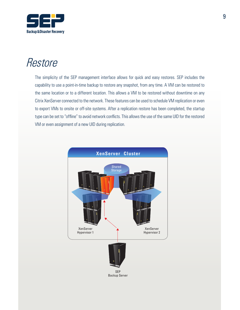

#### **Restore**

The simplicity of the SEP management interface allows for quick and easy restores. SEP includes the capability to use a point-in-time backup to restore any snapshot, from any time. A VM can be restored to the same location or to a different location. This allows a VM to be restored without downtime on any Citrix XenServer connected to the network. These features can be used to schedule VM replication or even to export VMs to onsite or off-site systems. After a replication restore has been completed, the startup type can be set to "offline" to avoid network conflicts. This allows the use of the same UID for the restored VM or even assignment of a new UID during replication.

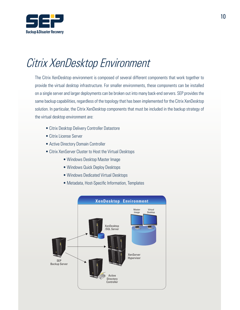

## Citrix XenDesktop Environment

The Citrix XenDesktop environment is composed of several different components that work together to provide the virtual desktop infrastructure. For smaller environments, these components can be installed on a single server and larger deployments can be broken out into many back-end servers. SEP provides the same backup capabilities, regardless of the topology that has been implemented for the Citrix XenDesktop solution. In particular, the Citrix XenDesktop components that must be included in the backup strategy of the virtual desktop environment are:

- Citrix Desktop Delivery Controller Datastore
- Citrix License Server
- Active Directory Domain Controller
- Citrix XenServer Cluster to Host the Virtual Desktops
	- Windows Desktop Master Image
	- Windows Quick Deploy Desktops
	- Windows Dedicated Virtual Desktops
	- Metadata, Host-Specific Information, Templates

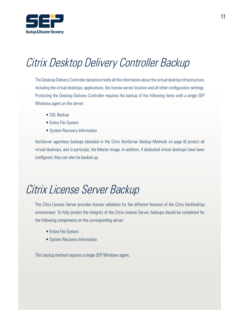

# Citrix Desktop Delivery Controller Backup

The Desktop Delivery Controller datastore holds all the information about the virtual desktop infrastructure, including the virtual desktops, applications, the license server location and all other configuration settings. Protecting the Desktop Delivery Controller requires the backup of the following items with a single SEP Windows agent on the server:

- SQL Backup
- Entire File System
- System Recovery Information

XenServer agentless backups (detailed in the Citrix XenServer Backup Methods on page 6) protect all virtual desktops, and in particular, the Master Image. In addition, if dedicated virtual desktops have been configured, they can also be backed up.

#### Citrix License Server Backup

The Citrix License Server provides license validation for the different features of the Citrix XenDesktop environment. To fully protect the integrity of the Citrix License Server, backups should be completed for the following components on the corresponding server:

- Entire File System
- System Recovery Information

This backup method requires a single SEP Windows agent.